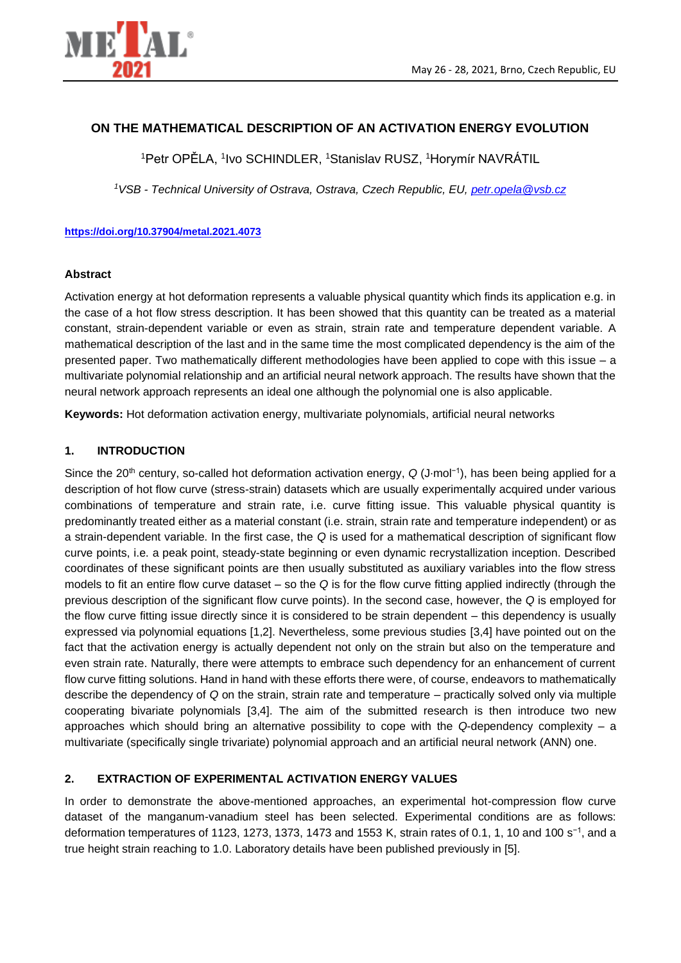

### **ON THE MATHEMATICAL DESCRIPTION OF AN ACTIVATION ENERGY EVOLUTION**

<sup>1</sup>Petr OPĚLA, <sup>1</sup>lvo SCHINDLER, <sup>1</sup>Stanislav RUSZ, <sup>1</sup>Horymír NAVRÁTIL

*<sup>1</sup>VSB - Technical University of Ostrava, Ostrava, Czech Republic, EU, [petr.opela@vsb.cz](mailto:petr.opela@vsb.cz)*

#### **<https://doi.org/10.37904/metal.2021.4073>**

#### **Abstract**

Activation energy at hot deformation represents a valuable physical quantity which finds its application e.g. in the case of a hot flow stress description. It has been showed that this quantity can be treated as a material constant, strain-dependent variable or even as strain, strain rate and temperature dependent variable. A mathematical description of the last and in the same time the most complicated dependency is the aim of the presented paper. Two mathematically different methodologies have been applied to cope with this issue – a multivariate polynomial relationship and an artificial neural network approach. The results have shown that the neural network approach represents an ideal one although the polynomial one is also applicable.

**Keywords:** Hot deformation activation energy, multivariate polynomials, artificial neural networks

#### **1. INTRODUCTION**

Since the 20th century, so-called hot deformation activation energy, *Q* (J⋅mol−1), has been being applied for a description of hot flow curve (stress-strain) datasets which are usually experimentally acquired under various combinations of temperature and strain rate, i.e. curve fitting issue. This valuable physical quantity is predominantly treated either as a material constant (i.e. strain, strain rate and temperature independent) or as a strain-dependent variable. In the first case, the *Q* is used for a mathematical description of significant flow curve points, i.e. a peak point, steady-state beginning or even dynamic recrystallization inception. Described coordinates of these significant points are then usually substituted as auxiliary variables into the flow stress models to fit an entire flow curve dataset – so the *Q* is for the flow curve fitting applied indirectly (through the previous description of the significant flow curve points). In the second case, however, the *Q* is employed for the flow curve fitting issue directly since it is considered to be strain dependent – this dependency is usually expressed via polynomial equations [1,2]. Nevertheless, some previous studies [3,4] have pointed out on the fact that the activation energy is actually dependent not only on the strain but also on the temperature and even strain rate. Naturally, there were attempts to embrace such dependency for an enhancement of current flow curve fitting solutions. Hand in hand with these efforts there were, of course, endeavors to mathematically describe the dependency of *Q* on the strain, strain rate and temperature – practically solved only via multiple cooperating bivariate polynomials [3,4]. The aim of the submitted research is then introduce two new approaches which should bring an alternative possibility to cope with the *Q*-dependency complexity – a multivariate (specifically single trivariate) polynomial approach and an artificial neural network (ANN) one.

### **2. EXTRACTION OF EXPERIMENTAL ACTIVATION ENERGY VALUES**

In order to demonstrate the above-mentioned approaches, an experimental hot-compression flow curve dataset of the manganum-vanadium steel has been selected. Experimental conditions are as follows: deformation temperatures of 1123, 1273, 1373, 1473 and 1553 K, strain rates of 0.1, 1, 10 and 100 s<sup>-1</sup>, and a true height strain reaching to 1.0. Laboratory details have been published previously in [5].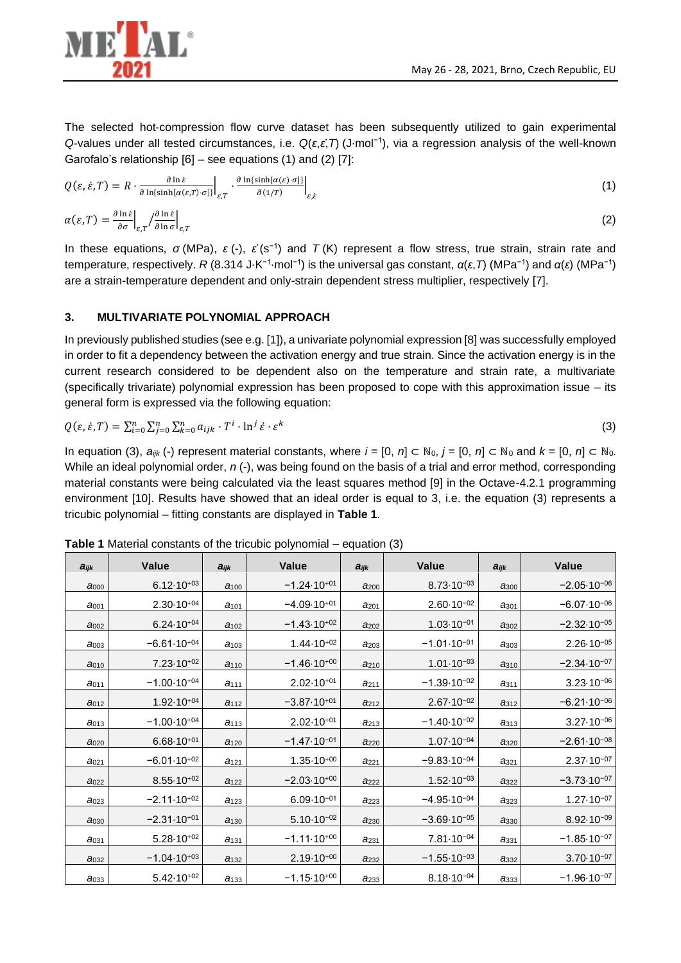

The selected hot-compression flow curve dataset has been subsequently utilized to gain experimental *Q*-values under all tested circumstances, i.e. *Q*(*ε*,*ε̇*,*T*) (J⋅mol−1), via a regression analysis of the well-known Garofalo's relationship [6] – see equations (1) and (2) [7]:

$$
Q(\varepsilon, \dot{\varepsilon}, T) = R \cdot \frac{\partial \ln \varepsilon}{\partial \ln\{\sinh[\alpha(\varepsilon, T) \cdot \sigma]\}} \bigg|_{\varepsilon, T} \cdot \frac{\partial \ln\{\sinh[\alpha(\varepsilon) \cdot \sigma]\}}{\partial (1/T)} \bigg|_{\varepsilon, \dot{\varepsilon}} \tag{1}
$$

$$
\alpha(\varepsilon,T) = \frac{\partial \ln \varepsilon}{\partial \sigma} \Big|_{\varepsilon,T} / \frac{\partial \ln \varepsilon}{\partial \ln \sigma} \Big|_{\varepsilon,T}
$$
 (2)

In these equations,  $\sigma$  (MPa),  $\varepsilon$  (-),  $\varepsilon$  (s<sup>-1</sup>) and  $T$  (K) represent a flow stress, true strain, strain rate and temperature, respectively. *R* (8.314 J⋅K<sup>-1</sup>⋅mol<sup>-1</sup>) is the universal gas constant, *α*(*ε*, *T*) (MPa<sup>-1</sup>) and *α*(*ε*) (MPa<sup>-1</sup>) are a strain-temperature dependent and only-strain dependent stress multiplier, respectively [7].

# **3. MULTIVARIATE POLYNOMIAL APPROACH**

In previously published studies (see e.g. [1]), a univariate polynomial expression [8] was successfully employed in order to fit a dependency between the activation energy and true strain. Since the activation energy is in the current research considered to be dependent also on the temperature and strain rate, a multivariate (specifically trivariate) polynomial expression has been proposed to cope with this approximation issue – its general form is expressed via the following equation:

$$
Q(\varepsilon, \dot{\varepsilon}, T) = \sum_{i=0}^{n} \sum_{j=0}^{n} \sum_{k=0}^{n} a_{ijk} \cdot T^i \cdot \ln^j \dot{\varepsilon} \cdot \varepsilon^k
$$
\n(3)

In equation (3),  $a_{ik}$  (-) represent material constants, where  $i = [0, n] \subset \mathbb{N}_0$ ,  $j = [0, n] \subset \mathbb{N}_0$  and  $k = [0, n] \subset \mathbb{N}_0$ . While an ideal polynomial order, *n* (-), was being found on the basis of a trial and error method, corresponding material constants were being calculated via the least squares method [9] in the Octave-4.2.1 programming environment [10]. Results have showed that an ideal order is equal to 3, i.e. the equation (3) represents a tricubic polynomial – fitting constants are displayed in **Table 1**.

| aijk             | <b>Value</b>           | $a_{ijk}$        | <b>Value</b>           | aijk                    | <b>Value</b>           | aijk             | <b>Value</b>           |
|------------------|------------------------|------------------|------------------------|-------------------------|------------------------|------------------|------------------------|
| $a_{000}$        | $6.12 \cdot 10^{+03}$  | $a_{100}$        | $-1.24 \cdot 10^{+01}$ | $a_{200}$               | $8.73 \cdot 10^{-03}$  | $a_{300}$        | $-2.05 \cdot 10^{-06}$ |
| a <sub>001</sub> | $2.30 \cdot 10^{+04}$  | $a_{101}$        | $-4.09 \cdot 10^{+01}$ | a <sub>201</sub>        | $2.60 \cdot 10^{-02}$  | a <sub>301</sub> | $-6.07 \cdot 10^{-06}$ |
| a <sub>002</sub> | $6.24 \cdot 10^{+04}$  | $a_{102}$        | $-1.43 \cdot 10^{+02}$ | $a_{202}$               | $1.03 \cdot 10^{-01}$  | $a_{302}$        | $-2.32 \cdot 10^{-05}$ |
| a <sub>003</sub> | $-6.61 \cdot 10^{+04}$ | $a_{103}$        | $1.44 \cdot 10^{+02}$  | a <sub>203</sub>        | $-1.01 \cdot 10^{-01}$ | a <sub>303</sub> | $2.26 \cdot 10^{-05}$  |
| a <sub>010</sub> | $7.23 \cdot 10^{+02}$  | $a_{110}$        | $-1.46 \cdot 10^{+00}$ | $a_{210}$               | $1.01 \cdot 10^{-03}$  | $a_{310}$        | $-2.34 \cdot 10^{-07}$ |
| a <sub>011</sub> | $-1.00.10+04$          | $a_{111}$        | $2.02 \cdot 10^{+01}$  | $a_{211}$               | $-1.39.10^{-02}$       | a <sub>311</sub> | $3.23 \cdot 10^{-06}$  |
| a <sub>012</sub> | $1.92 \cdot 10^{+04}$  | a <sub>112</sub> | $-3.87 \cdot 10^{+01}$ | a <sub>212</sub>        | $2.67 \cdot 10^{-02}$  | a <sub>312</sub> | $-6.21 \cdot 10^{-06}$ |
| a <sub>013</sub> | $-1.00 \cdot 10^{+04}$ | a <sub>113</sub> | $2.02 \cdot 10^{+01}$  | a <sub>213</sub>        | $-1.40 \cdot 10^{-02}$ | a <sub>313</sub> | $3.27 \cdot 10^{-06}$  |
| a <sub>020</sub> | $6.68 \cdot 10^{+01}$  | $a_{120}$        | $-1.47 \cdot 10^{-01}$ | a <sub>220</sub>        | $1.07 \cdot 10^{-04}$  | a <sub>320</sub> | $-2.61 \cdot 10^{-08}$ |
| a <sub>021</sub> | $-6.01 \cdot 10^{+02}$ | $a_{121}$        | $1.35 \cdot 10^{+00}$  | $a_{221}$               | $-9.83 \cdot 10^{-04}$ | a <sub>321</sub> | $2.37 \cdot 10^{-07}$  |
| a <sub>022</sub> | $8.55 \cdot 10^{+02}$  | $a_{122}$        | $-2.03 \cdot 10^{+00}$ | a <sub>222</sub>        | $1.52 \cdot 10^{-03}$  | a <sub>322</sub> | $-3.73 \cdot 10^{-07}$ |
| a <sub>023</sub> | $-2.11 \cdot 10^{+02}$ | a <sub>123</sub> | $6.09 \cdot 10^{-01}$  | a <sub>223</sub>        | $-4.95 \cdot 10^{-04}$ | a <sub>323</sub> | $1.27 \cdot 10^{-07}$  |
| a <sub>030</sub> | $-2.31 \cdot 10^{+01}$ | $a_{130}$        | $5.10 \cdot 10^{-02}$  | $a_{230}$               | $-3.69 \cdot 10^{-05}$ | $a_{330}$        | $8.92 \cdot 10^{-09}$  |
| a <sub>031</sub> | $5.28 \cdot 10^{+02}$  | $a_{131}$        | $-1.11 \cdot 10^{+00}$ | $a_{231}$               | $7.81 \cdot 10^{-04}$  | a <sub>331</sub> | $-1.85 \cdot 10^{-07}$ |
| a <sub>032</sub> | $-1.04 \cdot 10^{+03}$ | a <sub>132</sub> | $2.19 \cdot 10^{+00}$  | <b>a</b> <sub>232</sub> | $-1.55 \cdot 10^{-03}$ | a <sub>332</sub> | $3.70 \cdot 10^{-07}$  |
| a <sub>033</sub> | $5.42 \cdot 10^{+02}$  | $a_{133}$        | $-1.15 \cdot 10^{+00}$ | a <sub>233</sub>        | $8.18 \cdot 10^{-04}$  | a <sub>333</sub> | $-1.96 \cdot 10^{-07}$ |

**Table 1** Material constants of the tricubic polynomial – equation (3)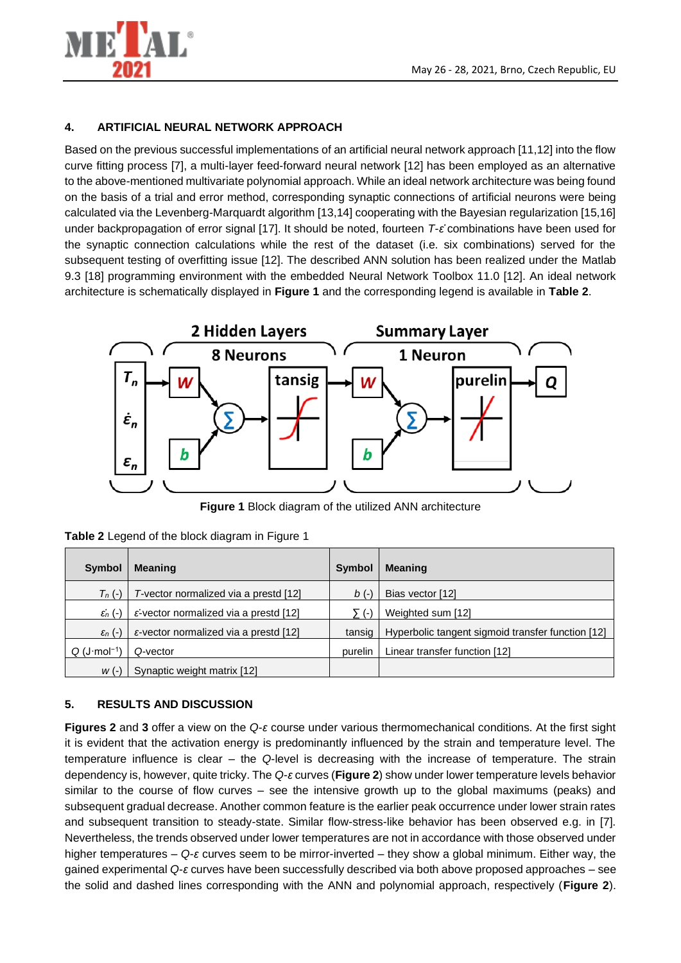

# **4. ARTIFICIAL NEURAL NETWORK APPROACH**

Based on the previous successful implementations of an artificial neural network approach [11,12] into the flow curve fitting process [7], a multi-layer feed-forward neural network [12] has been employed as an alternative to the above-mentioned multivariate polynomial approach. While an ideal network architecture was being found on the basis of a trial and error method, corresponding synaptic connections of artificial neurons were being calculated via the Levenberg-Marquardt algorithm [13,14] cooperating with the Bayesian regularization [15,16] under backpropagation of error signal [17]. It should be noted, fourteen *T*-*ε̇* combinations have been used for the synaptic connection calculations while the rest of the dataset (i.e. six combinations) served for the subsequent testing of overfitting issue [12]. The described ANN solution has been realized under the Matlab 9.3 [18] programming environment with the embedded Neural Network Toolbox 11.0 [12]. An ideal network architecture is schematically displayed in **Figure 1** and the corresponding legend is available in **Table 2**.



**Figure 1** Block diagram of the utilized ANN architecture

|  |  | Table 2 Legend of the block diagram in Figure 1 |  |  |
|--|--|-------------------------------------------------|--|--|
|  |  |                                                 |  |  |

| <b>Symbol</b>                      | <b>Meaning</b>                                  | <b>Symbol</b> | <b>Meaning</b>                                    |
|------------------------------------|-------------------------------------------------|---------------|---------------------------------------------------|
| $T_n$ (-)                          | T-vector normalized via a prestd [12]           | $b(-)$        | Bias vector [12]                                  |
| $\varepsilon_n$ (-)                | $\epsilon$ -vector normalized via a prestd [12] | 2 (-)         | Weighted sum [12]                                 |
| $\varepsilon_n$ (-)                | $\epsilon$ -vector normalized via a prestd [12] | tansig        | Hyperbolic tangent sigmoid transfer function [12] |
| $Q$ (J $\cdot$ mol <sup>-1</sup> ) | Q-vector                                        | purelin       | Linear transfer function [12]                     |
| $W(-)$                             | Synaptic weight matrix [12]                     |               |                                                   |

# **5. RESULTS AND DISCUSSION**

**Figures 2** and **3** offer a view on the *Q*-*ε* course under various thermomechanical conditions. At the first sight it is evident that the activation energy is predominantly influenced by the strain and temperature level. The temperature influence is clear – the *Q*-level is decreasing with the increase of temperature. The strain dependency is, however, quite tricky. The *Q*-*ε* curves (**Figure 2**) show under lower temperature levels behavior similar to the course of flow curves – see the intensive growth up to the global maximums (peaks) and subsequent gradual decrease. Another common feature is the earlier peak occurrence under lower strain rates and subsequent transition to steady-state. Similar flow-stress-like behavior has been observed e.g. in [7]. Nevertheless, the trends observed under lower temperatures are not in accordance with those observed under higher temperatures – *Q*-*ε* curves seem to be mirror-inverted – they show a global minimum. Either way, the gained experimental *Q*-*ε* curves have been successfully described via both above proposed approaches – see the solid and dashed lines corresponding with the ANN and polynomial approach, respectively (**Figure 2**).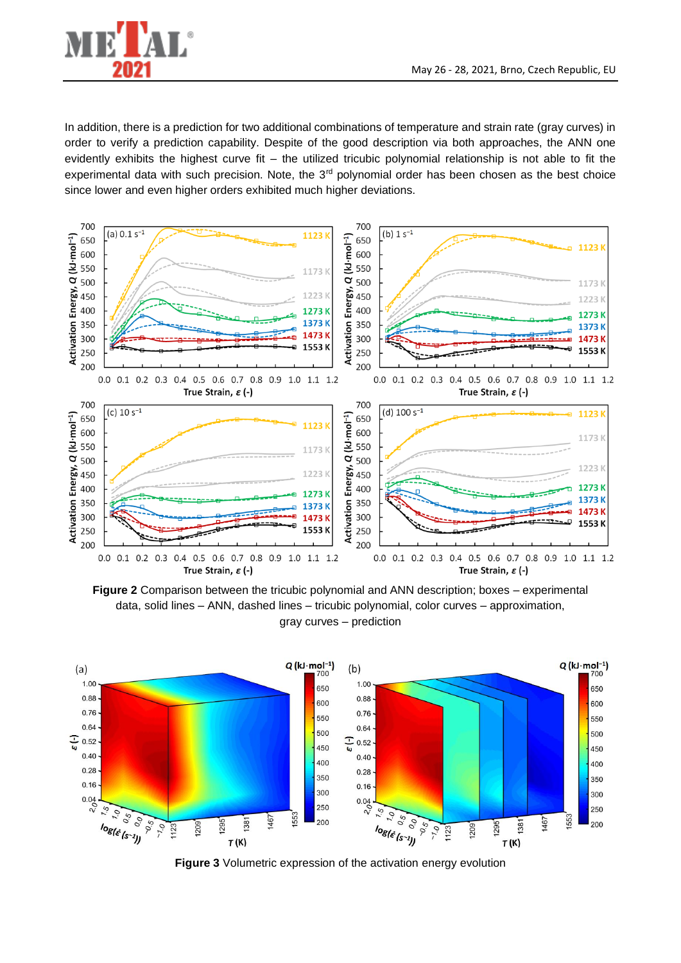

In addition, there is a prediction for two additional combinations of temperature and strain rate (gray curves) in order to verify a prediction capability. Despite of the good description via both approaches, the ANN one evidently exhibits the highest curve fit – the utilized tricubic polynomial relationship is not able to fit the experimental data with such precision. Note, the  $3<sup>rd</sup>$  polynomial order has been chosen as the best choice since lower and even higher orders exhibited much higher deviations.



**Figure 2** Comparison between the tricubic polynomial and ANN description; boxes – experimental data, solid lines – ANN, dashed lines – tricubic polynomial, color curves – approximation, gray curves – prediction



**Figure 3** Volumetric expression of the activation energy evolution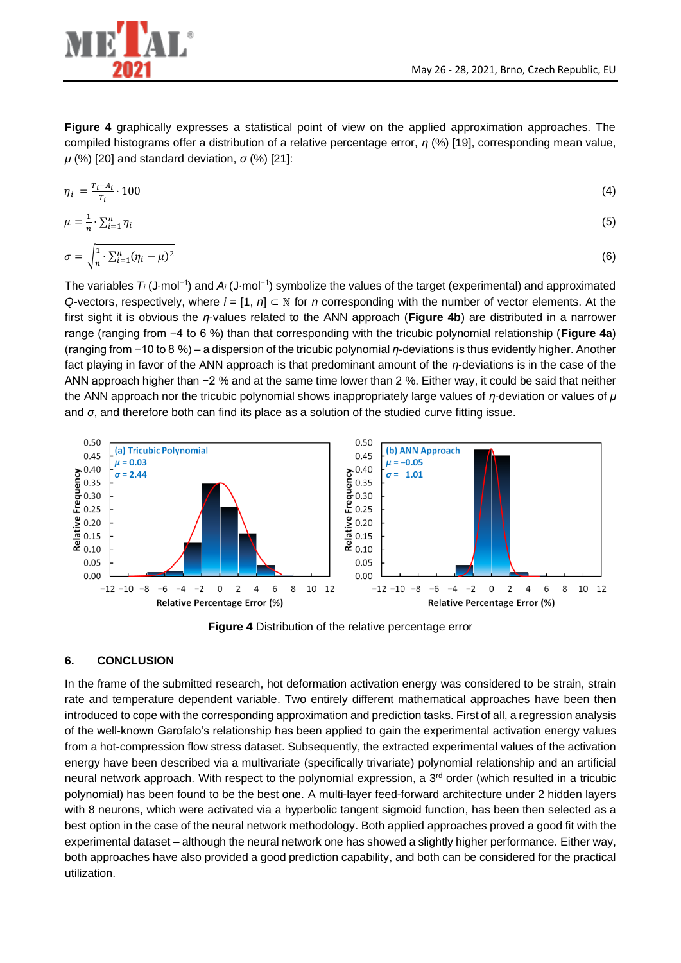

**Figure 4** graphically expresses a statistical point of view on the applied approximation approaches. The compiled histograms offer a distribution of a relative percentage error, *η* (%) [19], corresponding mean value, *μ* (%) [20] and standard deviation, *σ* (%) [21]:

$$
\eta_i = \frac{r_i - a_i}{r_i} \cdot 100 \tag{4}
$$

$$
\mu = \frac{1}{n} \cdot \sum_{i=1}^{n} \eta_i \tag{5}
$$

$$
\sigma = \sqrt{\frac{1}{n} \cdot \sum_{i=1}^{n} (\eta_i - \mu)^2}
$$
\n(6)

The variables *T<sup>i</sup>* (J⋅mol−1) and *A<sup>i</sup>* (J⋅mol−1) symbolize the values of the target (experimental) and approximated *Q*-vectors, respectively, where *i* = [1, *n*] ⊂ ℕ for *n* corresponding with the number of vector elements. At the first sight it is obvious the *η*-values related to the ANN approach (**Figure 4b**) are distributed in a narrower range (ranging from −4 to 6 %) than that corresponding with the tricubic polynomial relationship (**Figure 4a**) (ranging from −10 to 8 %) – a dispersion of the tricubic polynomial *η*-deviations is thus evidently higher. Another fact playing in favor of the ANN approach is that predominant amount of the *η*-deviations is in the case of the ANN approach higher than −2 % and at the same time lower than 2 %. Either way, it could be said that neither the ANN approach nor the tricubic polynomial shows inappropriately large values of *η*-deviation or values of *μ* and  $\sigma$ , and therefore both can find its place as a solution of the studied curve fitting issue.



**Figure 4** Distribution of the relative percentage error

# **6. CONCLUSION**

In the frame of the submitted research, hot deformation activation energy was considered to be strain, strain rate and temperature dependent variable. Two entirely different mathematical approaches have been then introduced to cope with the corresponding approximation and prediction tasks. First of all, a regression analysis of the well-known Garofalo's relationship has been applied to gain the experimental activation energy values from a hot-compression flow stress dataset. Subsequently, the extracted experimental values of the activation energy have been described via a multivariate (specifically trivariate) polynomial relationship and an artificial neural network approach. With respect to the polynomial expression, a 3<sup>rd</sup> order (which resulted in a tricubic polynomial) has been found to be the best one. A multi-layer feed-forward architecture under 2 hidden layers with 8 neurons, which were activated via a hyperbolic tangent sigmoid function, has been then selected as a best option in the case of the neural network methodology. Both applied approaches proved a good fit with the experimental dataset – although the neural network one has showed a slightly higher performance. Either way, both approaches have also provided a good prediction capability, and both can be considered for the practical utilization.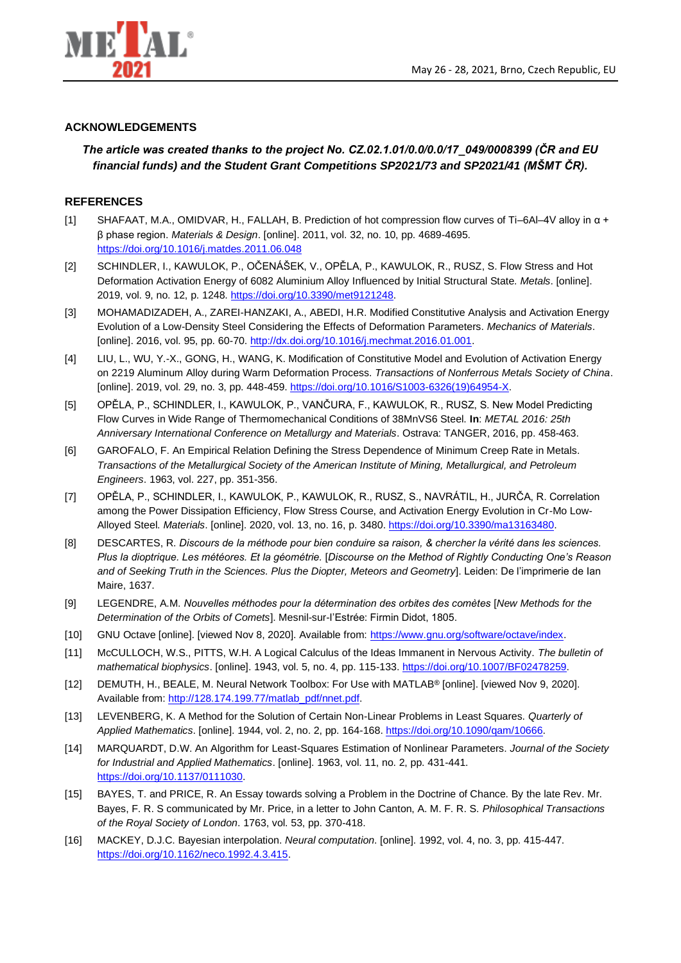

#### **ACKNOWLEDGEMENTS**

# *The article was created thanks to the project No. CZ.02.1.01/0.0/0.0/17\_049/0008399 (ČR and EU financial funds) and the Student Grant Competitions SP2021/73 and SP2021/41 (MŠMT ČR).*

#### **REFERENCES**

- [1] SHAFAAT, M.A., OMIDVAR, H., FALLAH, B. Prediction of hot compression flow curves of Ti–6Al–4V alloy in α + β phase region. *Materials & Design*. [online]. 2011, vol. 32, no. 10, pp. 4689-4695. <https://doi.org/10.1016/j.matdes.2011.06.048>
- [2] SCHINDLER, I., KAWULOK, P., OČENÁŠEK, V., OPĚLA, P., KAWULOK, R., RUSZ, S. Flow Stress and Hot Deformation Activation Energy of 6082 Aluminium Alloy Influenced by Initial Structural State. *Metals*. [online]. 2019, vol. 9, no. 12, p. 1248[. https://doi.org/10.3390/met9121248.](https://doi.org/10.3390/met9121248)
- [3] MOHAMADIZADEH, A., ZAREI-HANZAKI, A., ABEDI, H.R. Modified Constitutive Analysis and Activation Energy Evolution of a Low-Density Steel Considering the Effects of Deformation Parameters. *Mechanics of Materials*. [online]. 2016, vol. 95, pp. 60-70. http://dx.doi.org/10.1016/j.mechmat.2016.01.001.
- [4] LIU, L., WU, Y.-X., GONG, H., WANG, K. Modification of Constitutive Model and Evolution of Activation Energy on 2219 Aluminum Alloy during Warm Deformation Process. *Transactions of Nonferrous Metals Society of China*. [online]. 2019, vol. 29, no. 3, pp. 448-459[. https://doi.org/10.1016/S1003-6326\(19\)64954-X.](https://doi.org/10.1016/S1003-6326(19)64954-X)
- [5] OPĚLA, P., SCHINDLER, I., KAWULOK, P., VANČURA, F., KAWULOK, R., RUSZ, S. New Model Predicting Flow Curves in Wide Range of Thermomechanical Conditions of 38MnVS6 Steel. **In**: *METAL 2016: 25th Anniversary International Conference on Metallurgy and Materials*. Ostrava: TANGER, 2016, pp. 458-463.
- [6] GAROFALO, F. An Empirical Relation Defining the Stress Dependence of Minimum Creep Rate in Metals. *Transactions of the Metallurgical Society of the American Institute of Mining, Metallurgical, and Petroleum Engineers*. 1963, vol. 227, pp. 351-356.
- [7] OPĚLA, P., SCHINDLER, I., KAWULOK, P., KAWULOK, R., RUSZ, S., NAVRÁTIL, H., JURČA, R. Correlation among the Power Dissipation Efficiency, Flow Stress Course, and Activation Energy Evolution in Cr-Mo Low-Alloyed Steel. *Materials*. [online]. 2020, vol. 13, no. 16, p. 3480[. https://doi.org/10.3390/ma13163480.](https://doi.org/10.3390/ma13163480)
- [8] DESCARTES, R. *Discours de la méthode pour bien conduire sa raison, & chercher la vérité dans les sciences. Plus la dioptrique. Les météores. Et la géométrie.* [*Discourse on the Method of Rightly Conducting One's Reason and of Seeking Truth in the Sciences. Plus the Diopter, Meteors and Geometry*]. Leiden: De l'imprimerie de Ian Maire, 1637.
- [9] LEGENDRE, A.M. *Nouvelles méthodes pour la détermination des orbites des comètes* [*New Methods for the Determination of the Orbits of Comets*]. Mesnil-sur-I'Estrée: Firmin Didot, 1805.
- [10] GNU Octave [online]. [viewed Nov 8, 2020]. Available from: [https://www.gnu.org/software/octave/index.](https://www.gnu.org/software/octave/index)
- [11] McCULLOCH, W.S., PITTS, W.H. A Logical Calculus of the Ideas Immanent in Nervous Activity. *The bulletin of mathematical biophysics*. [online]. 1943, vol. 5, no. 4, pp. 115-133[. https://doi.org/10.1007/BF02478259.](https://doi.org/10.1007/BF02478259)
- [12] DEMUTH, H., BEALE, M. Neural Network Toolbox: For Use with MATLAB® [online]. [viewed Nov 9, 2020]. Available from: [http://128.174.199.77/matlab\\_pdf/nnet.pdf.](http://128.174.199.77/matlab_pdf/nnet.pdf)
- [13] LEVENBERG, K. A Method for the Solution of Certain Non-Linear Problems in Least Squares. *Quarterly of Applied Mathematics*. [online]. 1944, vol. 2, no. 2, pp. 164-168[. https://doi.org/10.1090/qam/10666.](https://doi.org/10.1090/qam/10666)
- [14] MARQUARDT, D.W. An Algorithm for Least-Squares Estimation of Nonlinear Parameters. *Journal of the Society for Industrial and Applied Mathematics*. [online]. 1963, vol. 11, no. 2, pp. 431-441. [https://doi.org/10.1137/0111030.](https://doi.org/10.1137/0111030)
- [15] BAYES, T. and PRICE, R. An Essay towards solving a Problem in the Doctrine of Chance. By the late Rev. Mr. Bayes, F. R. S communicated by Mr. Price, in a letter to John Canton, A. M. F. R. S. *Philosophical Transactions of the Royal Society of London*. 1763, vol. 53, pp. 370-418.
- [16] MACKEY, D.J.C. Bayesian interpolation. *Neural computation*. [online]. 1992, vol. 4, no. 3, pp. 415-447. [https://doi.org/10.1162/neco.1992.4.3.415.](https://doi.org/10.1162/neco.1992.4.3.415)